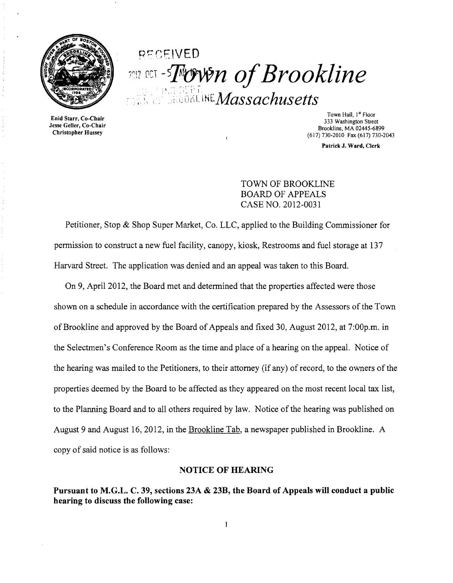

# Qcr:F.'VED *CCT -Trown of Brookline*  $\mathcal{M}$ assachusetts

Enid Starr, Co-Chair Jesse Geller, Co-Chair Christopher Hussey

Town Hall, 1<sup>st</sup> Floor 333 Washington Street Brookline, MA 02445-6899 (617) 730·2010 Fax (617) 730·2043

Patrick J. Ward, Clerk

#### TOWN OF BROOKLINE BOARD OF APPEALS CASE NO. 2012-0031

Petitioner, Stop & Shop Super Market, Co. LLC, applied to the Building Commissioner for permission to construct a new fuel facility, canopy, kiosk, Restrooms and fuel storage at 137 Harvard Street. The application was denied and an appeal was taken to this Board.

On 9, April 2012, the Board met and determined that the properties affected were those shown on a schedule in accordance with the certification prepared by the Assessors of the Town of Brookline and approved by the Board of Appeals and fixed 30, August 2012, at 7:00p.m. in the Selectmen's Conference Room as the time and place of a hearing on the appeal. Notice of the hearing was mailed to the Petitioners, to their attorney (if any) of record, to the owners of the properties deemed by the Board to be affected as they appeared on the most recent local tax list, to the Planning Board and to all others required by law. Notice of the hearing was published on August 9 and August 16,2012, in the Brookline Tab, a newspaper published in Brookline. A copy of said notice is as follows:

#### NOTICE OF HEARING

Pursuant to M.G.L. C. 39, sections 23A & 23B, the Board of Appeals will conduct a public hearing to discuss the following case: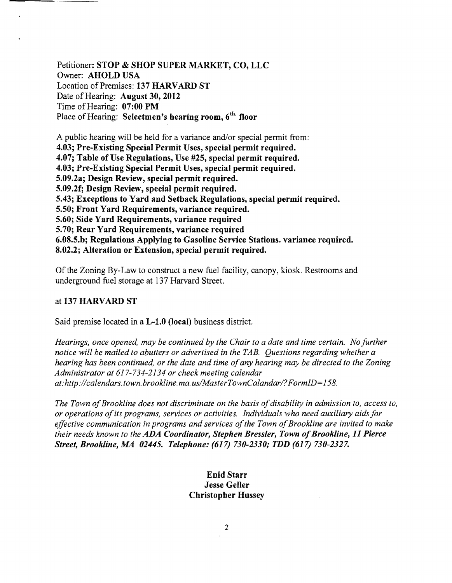Petitioner: STOP & SHOP SUPER MARKET, CO, LLC Owner: AHOLD USA Location of Premises: 137 HARVARD ST Date of Hearing: August 30, 2012 Time of Hearing: 07:00 PM Place of Hearing: Selectmen's hearing room, 6<sup>th.</sup> floor

A public hearing will be held for a variance and/or special permit from: 4.03; Pre-Existing Special Permit Uses, special permit required. 4.07; Table of Use Regulations, Use #25, special permit required. 4.03; Pre-Existing Special Permit Uses, special permit required. 5.09.2a; Design Review, special permit required. 5.09.2f; Design Review, special permit required. 5.43; Exceptions to Yard and Setback Regulations, special permit required. 5.50; Front Yard Requirements, variance required. 5.60; Side Yard Requirements, variance required 5.70; Rear Yard Requirements, variance required 6.08.5.b; Regulations Applying to Gasoline Service Stations. variance required. 8.02.2; Alteration or Extension, special permit required.

Of the Zoning By-Law to construct a new fuel facility, canopy, kiosk. Restrooms and underground fuel storage at 137 Harvard Street.

#### at 137 HARVARD ST

Said premise located in a L-1.0 (local) business district.

*Hearings, once opened, may be continued by the Chair to a date and time certain. No further notice will be mailed to abutters or advertised in the TAB. Questions regarding whether a hearing has been continued, or the date and time ofany hearing may be directed to the Zoning Administrator at* 617-734-2134 *or check meeting calendar at:http://calendars.town.brookline.ma.usIMasterTownCalandarl? FormID= 158.* 

The Town of Brookline does not discriminate on the basis of disability in admission to, access to, *or operations ofits programs, services or activities. Individuals who need auxiliary aids for*  effective communication in programs and services of the Town of Brookline are invited to make *their needs known to the ADA Coordinator, Stephen Bressler, Town of Brookline, 11 Pierce Street, Brookline, AM 02445. Telephone:* (617) *730-2330; TDD* (617) *730-2327.* 

> Enid Starr Jesse Geller Christopher Hussey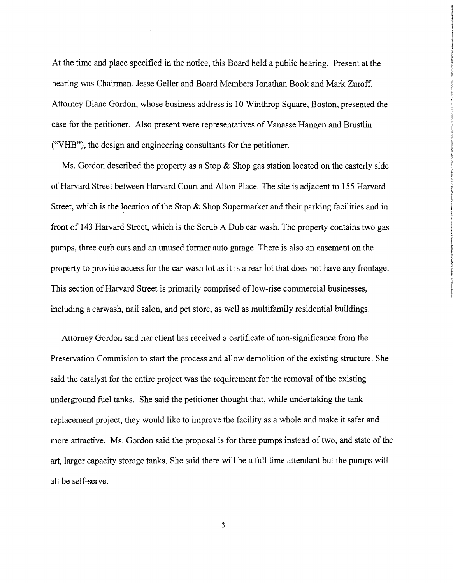At the time and place specified in the notice, this Board held a public hearing. Present at the hearing was Chairman, Jesse Geller and Board Members Jonathan Book and Mark Zuroff. Attorney Diane Gordon, whose business address is 10 Winthrop Square, Boston, presented the case for the petitioner. Also present were representatives ofVanasse Hangen and Brustlin ("VHB"), the design and engineering consultants for the petitioner.

Ms. Gordon described the property as a Stop  $\&$  Shop gas station located on the easterly side of Harvard Street between Harvard Court and Alton Place. The site is adjacent to 155 Harvard Street, which is the location of the Stop  $\&$  Shop Supermarket and their parking facilities and in front of 143 Harvard Street, which is the Scrub A Dub car wash. The property contains two gas pumps, three curb cuts and an unused former auto garage. There is also an easement on the property to provide access for the car wash lot as it is a rear lot that does not have any frontage. This section of Harvard Street is primarily comprised of low-rise commercial businesses, including a carwash, nail salon, and pet store, as well as multifamily residential buildings.

Attorney Gordon said her client has received a certificate of non-significance from the Preservation Commision to start the process and allow demolition of the existing structure. She said the catalyst for the entire project was the requirement for the removal of the existing underground fuel tanks. She said the petitioner thought that, while undertaking the tank replacement project, they would like to improve the facility as a whole and make it safer and more attractive. Ms. Gordon said the proposal is for three pumps instead of two, and state of the art, larger capacity storage tanks. She said there will be a full time attendant but the pumps will all be self-serve.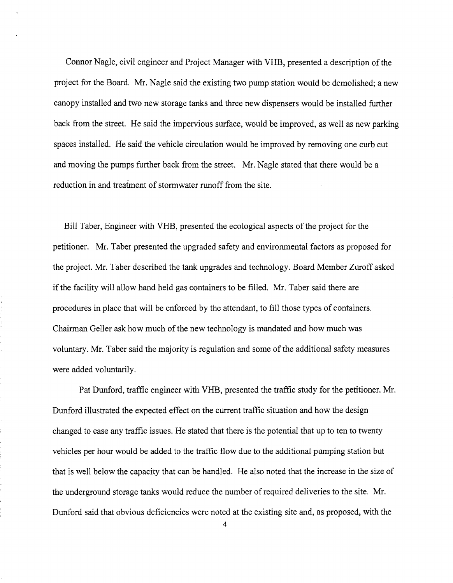Connor Nagle, civil engineer and Project Manager with VHB, presented a description of the project for the Board. Mr. Nagle said the existing two pump station would be demolished; a new canopy installed and two new storage tanks and three new dispensers would be installed further back from the street. He said the impervious surface, would be improved, as well as new parking spaces installed. He said the vehicle circulation would be improved by removing one curb cut and moving the pumps further back from the street. Mr. Nagle stated that there would be a reduction in and treatment of stormwater runoff from the site.

Bill Taber, Engineer with VHB, presented the ecological aspects ofthe project for the petitioner. Mr. Taber presented the upgraded safety and environmental factors as proposed for the project. Mr. Taber described the tank upgrades and technology. Board Member Zuroff asked if the facility will allow hand held gas containers to be filled. Mr. Taber said there are procedures in place that will be enforced by the attendant, to fill those types of containers. Chairman Geller ask how much of the new technology is mandated and how much was voluntary. Mr. Taber said the majority is regulation and some of the additional safety measures were added voluntarily.

Pat Dunford, traffic engineer with VHB, presented the traffic study for the petitioner. Mr. Dunford illustrated the expected effect on the current traffic situation and how the design changed to ease any traffic issues. He stated that there is the potential that up to ten to twenty vehicles per hour would be added to the traffic flow due to the additional pumping station but that is well below the capacity that can be handled. He also noted that the increase in the size of the underground storage tanks would reduce the number of required deliveries to the site. Mr. Dunford said that obvious deficiencies were noted at the existing site and, as proposed, with the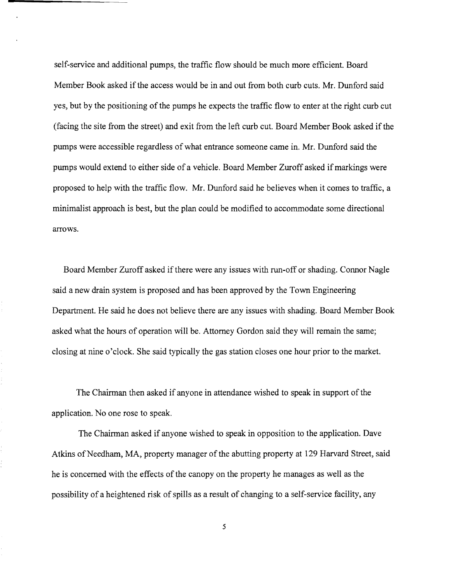self-service and additional pumps, the traffic flow should be much more efficient. Board Member Book asked if the access would be in and out from both curb cuts. Mr. Dunford said yes, but by the positioning of the pumps he expects the traffic flow to enter at the right curb cut (facing the site from the street) and exit from the left curb cut. Board Member Book asked if the pumps were accessible regardless of what entrance someone came in. Mr. Dunford said the pumps would extend to either side of a vehicle. Board Member Zuroff asked ifmarkings were proposed to help with the traffic flow. Mr. Dunford said he believes when it comes to traffic, a minimalist approach is best, but the plan could be modified to accommodate some directional arrows.

Board Member Zuroff asked if there were any issues with run-off or shading. Connor Nagle said a new drain system is proposed and has been approved by the Town Engineering Department. He said he does not believe there are any issues with shading. Board Member Book asked what the hours of operation will be. Attorney Gordon said they will remain the same; closing at nine o'clock. She said typically the gas station closes one hour prior to the market.

The Chairman then asked if anyone in attendance wished to speak in support of the application. No one rose to speak.

The Chairman asked if anyone wished to speak in opposition to the application. Dave Atkins of Needham, MA, property manager of the abutting property at 129 Harvard Street, said he is concerned with the effects of the canopy on the property he manages as well as the possibility of a heightened risk of spills as a result of changing to a self-service facility, any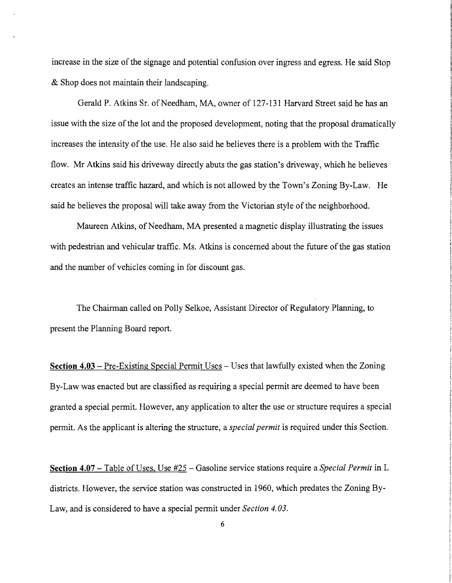increase in the size of the signage and potential confusion over ingress and egress. He said Stop & Shop does not maintain their landscaping.

Gerald P. Atkins Sr. of Needham, MA, owner of 127-131 Harvard Street said he has an issue with the size of the lot and the proposed development, noting that the proposal dramatically increases the intensity of the use. He also said he believes there is a problem with the Traffic flow. Mr Atkins said his driveway directly abuts the gas station's driveway, which he believes creates an intense traffic hazard, and which is not allowed by the Town's Zoning By-Law. He said he believes the proposal will take away from the Victorian style of the neighborhood.

Maureen Atkins, of Needham, MA presented a magnetic display illustrating the issues with pedestrian and vehicular traffic. Ms. Atkins is concerned about the future of the gas station and the number of vehicles coming in for discount gas.

The Chairman called on Polly Selkoe, Assistant Director of Regulatory Planning, to present the Planning Board report.

**Section 4.03** – Pre-Existing Special Permit Uses – Uses that lawfully existed when the Zoning By-Law was enacted but are classified as requiring a special permit are deemed to have been granted a special permit. However, any application to alter the use or structure requires a special permit. As the applicant is altering the structure, a *special permit* is required under this Section.

**Section 4.07** – Table of Uses, Use #25 – Gasoline service stations require a *Special Permit* in L districts. However, the service station was constructed in 1960, which predates the Zoning By-Law, and is considered to have a special permit under *Section 4.03.*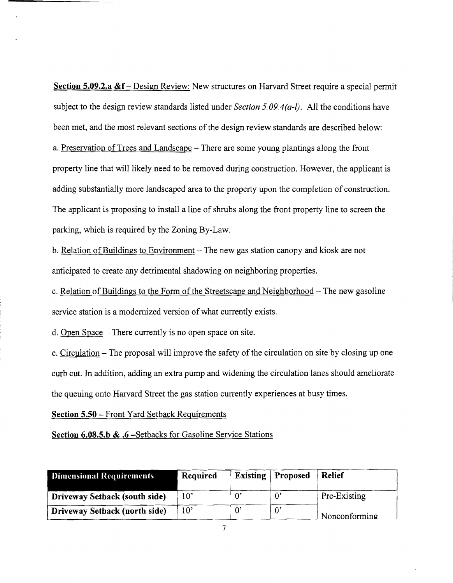**Section 5.09.2.a &f** – Design Review: New structures on Harvard Street require a special permit subject to the design review standards listed under *Section 5.09.4 (a-l).* All the conditions have been met, and the most relevant sections of the design review standards are described below: a. Preservation of Trees and Landscape – There are some young plantings along the front property line that will likely need to be removed during construction. However, the applicant is adding substantially more landscaped area to the property upon the completion of construction. The applicant is proposing to install a line of shrubs along the front property line to screen the parking, which is required by the Zoning By-Law.

b. Relation of Buildings to Environment – The new gas station canopy and kiosk are not anticipated to create any detrimental shadowing on neighboring properties.

c. Relation of Buildings to the Form of the Streetscape and Neighborhood - The new gasoline service station is a modernized version of what currently exists.

d. Open Space - There currently is no open space on site.

e. Circulation – The proposal will improve the safety of the circulation on site by closing up one curb cut. In addition, adding an extra pump and widening the circulation lanes should ameliorate the queuing onto Harvard Street the gas station currently experiences at busy times.

**Section 5.50** - Front Yard Setback Requirements

**Section 6.0S.5.b & .6** -Setbacks for Gasoline Service Stations

| <b>Dimensional Requirements</b> | Required     |             | <b>Existing</b> Proposed | <b>Relief</b> |
|---------------------------------|--------------|-------------|--------------------------|---------------|
| Driveway Setback (south side)   | $10^{\circ}$ | $0^{\circ}$ | $\theta$                 | Pre-Existing  |
| Driveway Setback (north side)   | 10'          | $0^{\circ}$ | $0^{\prime}$             | Nonconforming |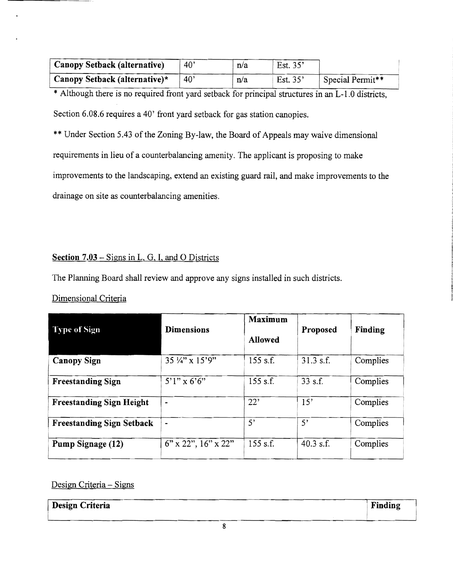| Canopy Setback (alternative)  | $40^{\circ}$ | n/a | Est. 35' |                  |
|-------------------------------|--------------|-----|----------|------------------|
| Canopy Setback (alternative)* | $40^{\circ}$ | n/a | Est. 35' | Special Permit** |
|                               |              |     |          |                  |

\* Although there is no required front yard setback for principal structures in an L-1.0 districts, Section 6.08.6 requires a 40' front yard setback for gas station canopies.

\*\* Under Section *5A3* of the Zoning By-law, the Board of Appeals may waive dimensional requirements in lieu of a counterbalancing amenity. The applicant is proposing to make improvements to the landscaping, extend an existing guard rail, and make improvements to the drainage on site as counterbalancing amenities.

#### Section 7.03 – Signs in L, G, I, and O Districts

The Planning Board shall review and approve any signs installed in such districts.

### Dimensional Criteria

| Type of Sign                     | <b>Dimensions</b>            | Maximum<br><b>Allowed</b> | Proposed    | Finding  |
|----------------------------------|------------------------------|---------------------------|-------------|----------|
| <b>Canopy Sign</b>               | 35 1/4" x 15'9"              | 155 s.f.                  | $31.3$ s.f. | Complies |
| <b>Freestanding Sign</b>         | $5'1''$ x 6'6"               | 155 s.f.                  | $33$ s.f.   | Complies |
| <b>Freestanding Sign Height</b>  | $\bullet$                    | 22'                       | 15'         | Complies |
| <b>Freestanding Sign Setback</b> | $\qquad \qquad \blacksquare$ | 5'                        | 5'          | Complies |
| Pump Signage (12)                | $6"$ x 22", $16"$ x 22"      | $155$ s.f.                | 40.3 s.f.   | Complies |

#### Design Criteria - Signs

| Design Criteria | Finding |
|-----------------|---------|
|                 |         |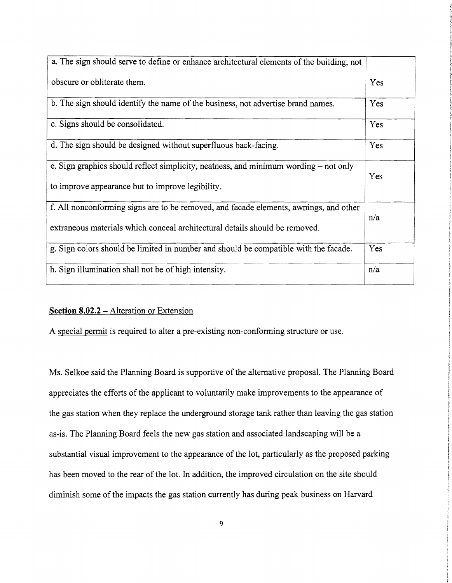| a. The sign should serve to define or enhance architectural elements of the building, not |     |
|-------------------------------------------------------------------------------------------|-----|
| obscure or obliterate them.                                                               | Yes |
| b. The sign should identify the name of the business, not advertise brand names.          | Yes |
| c. Signs should be consolidated.                                                          | Yes |
| d. The sign should be designed without superfluous back-facing.                           | Yes |
| e. Sign graphics should reflect simplicity, neatness, and minimum wording – not only      | Yes |
| to improve appearance but to improve legibility.                                          |     |
| f. All nonconforming signs are to be removed, and facade elements, awnings, and other     | n/a |
| extraneous materials which conceal architectural details should be removed.               |     |
| g. Sign colors should be limited in number and should be compatible with the facade.      | Yes |
| h. Sign illumination shall not be of high intensity.                                      | n/a |

#### **Section 8.02.2 – Alteration or Extension**

A special permit is required to alter a pre-existing non-conforming structure or use.

Ms. Selkoe said the Planning Board is supportive of the alternative proposal. The Planning Board appreciates the efforts of the applicant to voluntarily make improvements to the appearance of the gas station when they replace the underground storage tank rather than leaving the gas station as-is. The Planning Board feels the new gas station and associated landscaping will be a substantial visual improvement to the appearance of the lot, particularly as the proposed parking has been moved to the rear of the lot. In addition, the improved circulation on the site should diminish some of the impacts the gas station currently has during peak business on Harvard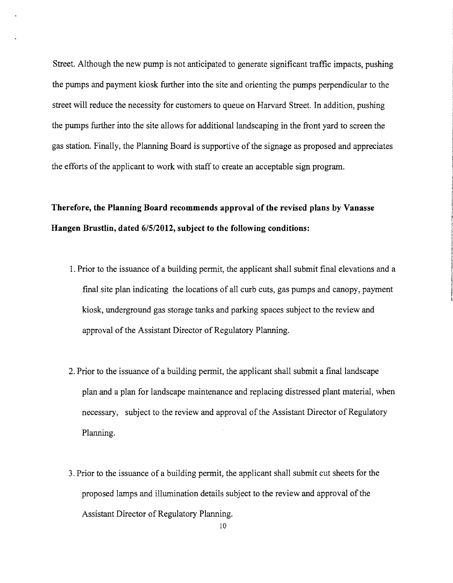Street. Although the new pump is not anticipated to generate significant traffic impacts, pushing the pumps and payment kiosk further into the site and orienting the pumps perpendicular to the street will reduce the necessity for customers to queue on Harvard Street. In addition, pushing the pumps further into the site allows for additional landscaping in the front yard to screen the gas station. Finally, the Planning Board is supportive of the signage as proposed and appreciates the efforts of the applicant to work with staff to create an acceptable sign program.

## **Therefore, the Planning Board recommends approval of the revised plans by Vanasse Hangen Brustlin, dated 6/5/2012, subject to the following conditions:**

- 1. Prior to the issuance of a building permit, the applicant shall submit final elevations and a final site plan indicating the locations of all curb cuts, gas pumps and canopy, payment kiosk, underground gas storage tanks and parking spaces subject to the review and approval of the Assistant Director of Regulatory Planning.
- 2. Prior to the issuance of a building permit, the applicant shall submit a final landscape plan and a plan for landscape maintenance and replacing distressed plant material, when necessary, subject to the review and approval of the Assistant Director of Regulatory Planning.
- 3. Prior to the issuance of a building permit, the applicant shall submit cut sheets for the proposed lamps and illumination details subject to the review and approval of the Assistant Director of Regulatory Planning.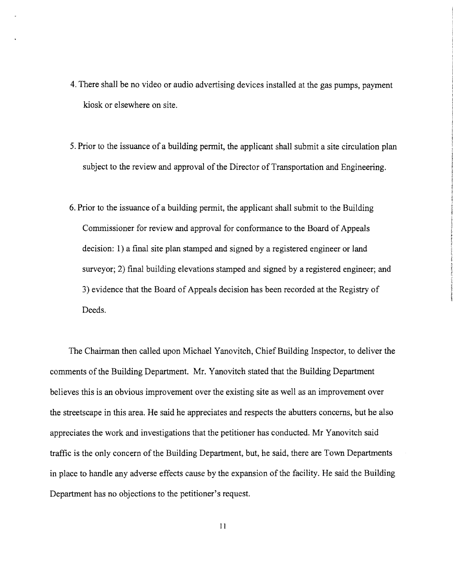- 4. There shall be no video or audio advertising devices installed at the gas pumps, payment kiosk or elsewhere on site.
- 5. Prior to the issuance of a building permit, the applicant shall submit a site circulation plan subject to the review and approval of the Director of Transportation and Engineering.
- 6. Prior to the issuance of a building permit, the applicant shall submit to the Building Commissioner for review and approval for conformance to the Board of Appeals decision: 1) a final site plan stamped and signed by a registered engineer or land surveyor; 2) final building elevations stamped and signed by a registered engineer; and 3) evidence that the Board of Appeals decision has been recorded at the Registry of Deeds.

The Chairman then called upon Michael Yanovitch, Chief Building Inspector, to deliver the comments of the Building Department. Mr. Yanovitch stated that the Building Department believes this is an obvious improvement over the existing site as well as an improvement over the streetscape in this area. He said he appreciates and respects the abutters concerns, but he also appreciates the work and investigations that the petitioner has conducted. Mr Yanovitch said traffic is the only concern of the Building Department, but, he said, there are Town Departments in place to handle any adverse effects cause by the expansion of the facility. He said the Building Department has no objections to the petitioner's request.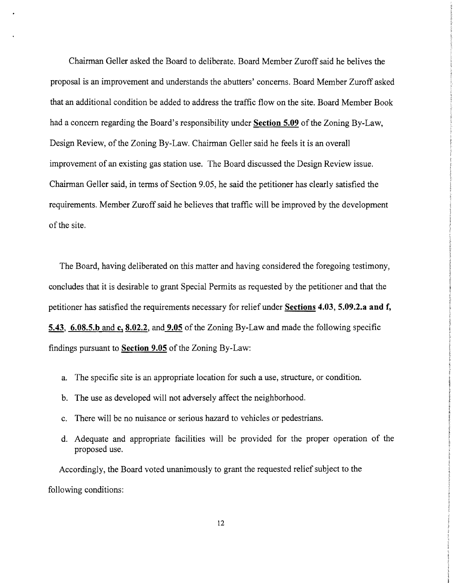Chairman Geller asked the Board to deliberate. Board Member Zuroff said he belives the proposal is an improvement and understands the abutters' concerns. Board Member Zuroff asked that an additional condition be added to address the traffic flow on the site. Board Member Book had a concern regarding the Board's responsibility under **Section 5.09** of the Zoning By-Law, Design Review, of the Zoning By-Law. Chairman Geller said he feels it is an overall improvement of an existing gas station use. The Board discussed the Design Review issue. Chairman Geller said, in terms of Section 9.05, he said the petitioner has clearly satisfied the requirements. Member Zuroff said he believes that traffic will be improved by the development of the site.

The Board, having deliberated on this matter and having considered the foregoing testimony, concludes that it is desirable to grant Special Permits as requested by the petitioner and that the petitioner has satisfied the requirements necessary for relief under **Sections 4.03, 5.09.2.a and f, 5.43, 6.08.5.b and c, 8.02.2, and 9.05** of the Zoning By-Law and made the following specific findings pursuant to **Section 9.05** of the Zoning By-Law:

- a. The specific site is an appropriate location for such a use, structure, or condition.
- b. The use as developed will not adversely affect the neighborhood.
- c. There will be no nuisance or serious hazard to vehicles or pedestrians.
- d. Adequate and appropriate facilities will be provided for the proper operation of the proposed use.

Accordingly, the Board voted unanimously to grant the requested relief subject to the following conditions: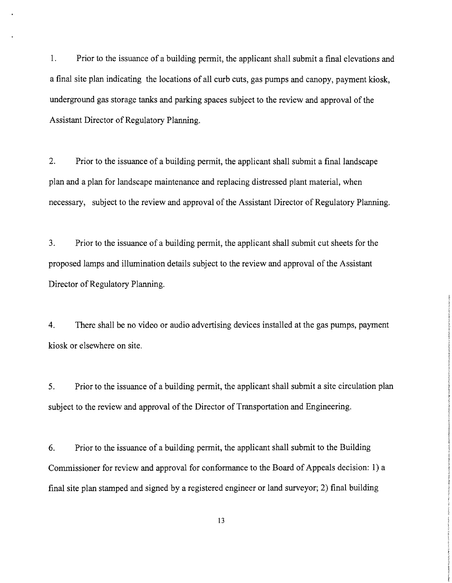1. Prior to the issuance of a building permit, the applicant shall submit a final elevations and a final site plan indicating the locations of all curb cuts, gas pumps and canopy, payment kiosk, underground gas storage tanks and parking spaces subject to the review and approval of the Assistant Director of Regulatory Planning.

2. Prior to the issuance of a building permit, the applicant shall submit a final landscape plan and a plan for landscape maintenance and replacing distressed plant material, when necessary, subject to the review and approval of the Assistant Director of Regulatory Planning.

3. Prior to the issuance of a building permit, the applicant shall submit cut sheets for the proposed lamps and illumination details subject to the review and approval of the Assistant Director of Regulatory Planning.

4. There shall be no video or audio advertising devices installed at the gas pumps, payment kiosk or elsewhere on site.

5. Prior to the issuance of a building permit, the applicant shall submit a site circulation plan subject to the review and approval of the Director of Transportation and Engineering.

6. Prior to the issuance of a building permit, the applicant shall submit to the Building Commissioner for review and approval for conformance to the Board of Appeals decision: 1) a final site plan stamped and signed by a registered engineer or land surveyor; 2) final building